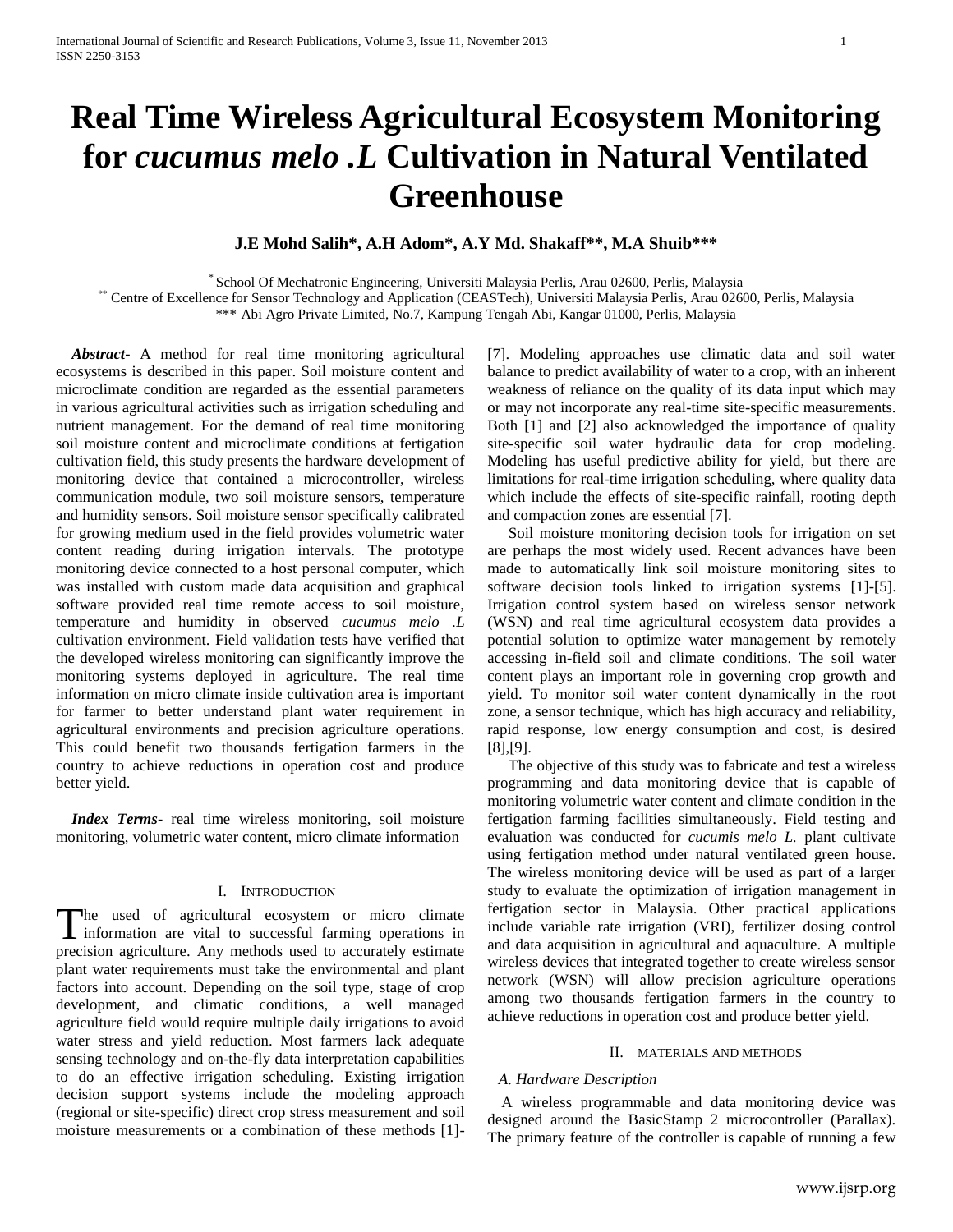# **Real Time Wireless Agricultural Ecosystem Monitoring for** *cucumus melo .L* **Cultivation in Natural Ventilated Greenhouse**

# **J.E Mohd Salih\*, A.H Adom\*, A.Y Md. Shakaff\*\*, M.A Shuib\*\*\***

\* School Of Mechatronic Engineering, Universiti Malaysia Perlis, Arau 02600, Perlis, Malaysia

\*\* Centre of Excellence for Sensor Technology and Application (CEASTech), Universiti Malaysia Perlis, Arau 02600, Perlis, Malaysia

\*\*\* Abi Agro Private Limited, No.7, Kampung Tengah Abi, Kangar 01000, Perlis, Malaysia

 *Abstract***-** A method for real time monitoring agricultural ecosystems is described in this paper. Soil moisture content and microclimate condition are regarded as the essential parameters in various agricultural activities such as irrigation scheduling and nutrient management. For the demand of real time monitoring soil moisture content and microclimate conditions at fertigation cultivation field, this study presents the hardware development of monitoring device that contained a microcontroller, wireless communication module, two soil moisture sensors, temperature and humidity sensors. Soil moisture sensor specifically calibrated for growing medium used in the field provides volumetric water content reading during irrigation intervals. The prototype monitoring device connected to a host personal computer, which was installed with custom made data acquisition and graphical software provided real time remote access to soil moisture, temperature and humidity in observed *cucumus melo .L* cultivation environment. Field validation tests have verified that the developed wireless monitoring can significantly improve the monitoring systems deployed in agriculture. The real time information on micro climate inside cultivation area is important for farmer to better understand plant water requirement in agricultural environments and precision agriculture operations. This could benefit two thousands fertigation farmers in the country to achieve reductions in operation cost and produce better yield.

 *Index Terms*- real time wireless monitoring, soil moisture monitoring, volumetric water content, micro climate information

## I. INTRODUCTION

The used of agricultural ecosystem or micro climate The used of agricultural ecosystem or micro climate information are vital to successful farming operations in precision agriculture. Any methods used to accurately estimate plant water requirements must take the environmental and plant factors into account. Depending on the soil type, stage of crop development, and climatic conditions, a well managed agriculture field would require multiple daily irrigations to avoid water stress and yield reduction. Most farmers lack adequate sensing technology and on-the-fly data interpretation capabilities to do an effective irrigation scheduling. Existing irrigation decision support systems include the modeling approach (regional or site-specific) direct crop stress measurement and soil moisture measurements or a combination of these methods [1]-

[7]. Modeling approaches use climatic data and soil water balance to predict availability of water to a crop, with an inherent weakness of reliance on the quality of its data input which may or may not incorporate any real-time site-specific measurements. Both [1] and [2] also acknowledged the importance of quality site-specific soil water hydraulic data for crop modeling. Modeling has useful predictive ability for yield, but there are limitations for real-time irrigation scheduling, where quality data which include the effects of site-specific rainfall, rooting depth and compaction zones are essential [7].

Soil moisture monitoring decision tools for irrigation on set are perhaps the most widely used. Recent advances have been made to automatically link soil moisture monitoring sites to software decision tools linked to irrigation systems [1]-[5]. Irrigation control system based on wireless sensor network (WSN) and real time agricultural ecosystem data provides a potential solution to optimize water management by remotely accessing in-field soil and climate conditions. The soil water content plays an important role in governing crop growth and yield. To monitor soil water content dynamically in the root zone, a sensor technique, which has high accuracy and reliability, rapid response, low energy consumption and cost, is desired [8],[9].

The objective of this study was to fabricate and test a wireless programming and data monitoring device that is capable of monitoring volumetric water content and climate condition in the fertigation farming facilities simultaneously. Field testing and evaluation was conducted for *cucumis melo L.* plant cultivate using fertigation method under natural ventilated green house. The wireless monitoring device will be used as part of a larger study to evaluate the optimization of irrigation management in fertigation sector in Malaysia. Other practical applications include variable rate irrigation (VRI), fertilizer dosing control and data acquisition in agricultural and aquaculture. A multiple wireless devices that integrated together to create wireless sensor network (WSN) will allow precision agriculture operations among two thousands fertigation farmers in the country to achieve reductions in operation cost and produce better yield.

## II. MATERIALS AND METHODS

## *A. Hardware Description*

A wireless programmable and data monitoring device was designed around the BasicStamp 2 microcontroller (Parallax). The primary feature of the controller is capable of running a few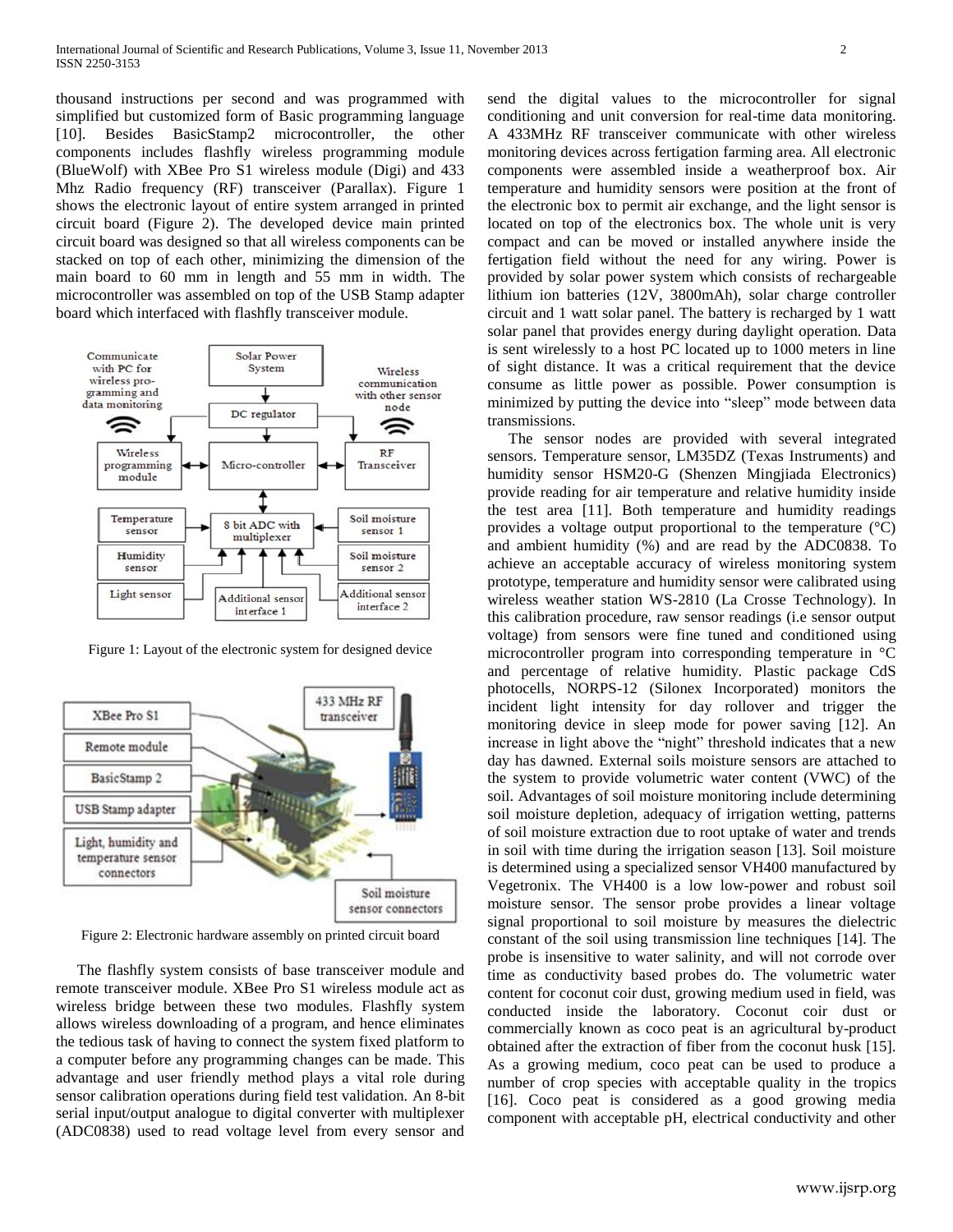thousand instructions per second and was programmed with simplified but customized form of Basic programming language [10]. Besides BasicStamp2 microcontroller, the other components includes flashfly wireless programming module (BlueWolf) with XBee Pro S1 wireless module (Digi) and 433 Mhz Radio frequency (RF) transceiver (Parallax). Figure 1 shows the electronic layout of entire system arranged in printed circuit board (Figure 2). The developed device main printed circuit board was designed so that all wireless components can be stacked on top of each other, minimizing the dimension of the main board to 60 mm in length and 55 mm in width. The microcontroller was assembled on top of the USB Stamp adapter board which interfaced with flashfly transceiver module.



Figure 1: Layout of the electronic system for designed device



Figure 2: Electronic hardware assembly on printed circuit board

The flashfly system consists of base transceiver module and remote transceiver module. XBee Pro S1 wireless module act as wireless bridge between these two modules. Flashfly system allows wireless downloading of a program, and hence eliminates the tedious task of having to connect the system fixed platform to a computer before any programming changes can be made. This advantage and user friendly method plays a vital role during sensor calibration operations during field test validation. An 8-bit serial input/output analogue to digital converter with multiplexer (ADC0838) used to read voltage level from every sensor and

send the digital values to the microcontroller for signal conditioning and unit conversion for real-time data monitoring. A 433MHz RF transceiver communicate with other wireless monitoring devices across fertigation farming area. All electronic components were assembled inside a weatherproof box. Air temperature and humidity sensors were position at the front of the electronic box to permit air exchange, and the light sensor is located on top of the electronics box. The whole unit is very compact and can be moved or installed anywhere inside the fertigation field without the need for any wiring. Power is provided by solar power system which consists of rechargeable lithium ion batteries (12V, 3800mAh), solar charge controller circuit and 1 watt solar panel. The battery is recharged by 1 watt solar panel that provides energy during daylight operation. Data is sent wirelessly to a host PC located up to 1000 meters in line of sight distance. It was a critical requirement that the device consume as little power as possible. Power consumption is minimized by putting the device into "sleep" mode between data transmissions.

The sensor nodes are provided with several integrated sensors. Temperature sensor, LM35DZ (Texas Instruments) and humidity sensor HSM20-G (Shenzen Mingjiada Electronics) provide reading for air temperature and relative humidity inside the test area [11]. Both temperature and humidity readings provides a voltage output proportional to the temperature  $({}^{\circ}C)$ and ambient humidity (%) and are read by the ADC0838. To achieve an acceptable accuracy of wireless monitoring system prototype, temperature and humidity sensor were calibrated using wireless weather station WS-2810 (La Crosse Technology). In this calibration procedure, raw sensor readings (i.e sensor output voltage) from sensors were fine tuned and conditioned using microcontroller program into corresponding temperature in °C and percentage of relative humidity. Plastic package CdS photocells, NORPS-12 (Silonex Incorporated) monitors the incident light intensity for day rollover and trigger the monitoring device in sleep mode for power saving [12]. An increase in light above the "night" threshold indicates that a new day has dawned. External soils moisture sensors are attached to the system to provide volumetric water content (VWC) of the soil. Advantages of soil moisture monitoring include determining soil moisture depletion, adequacy of irrigation wetting, patterns of soil moisture extraction due to root uptake of water and trends in soil with time during the irrigation season [13]. Soil moisture is determined using a specialized sensor VH400 manufactured by Vegetronix. The VH400 is a low low-power and robust soil moisture sensor. The sensor probe provides a linear voltage signal proportional to soil moisture by measures the dielectric constant of the soil using transmission line techniques [14]. The probe is insensitive to water salinity, and will not corrode over time as conductivity based probes do. The volumetric water content for coconut coir dust, growing medium used in field, was conducted inside the laboratory. Coconut coir dust or commercially known as coco peat is an agricultural by-product obtained after the extraction of fiber from the coconut husk [15]. As a growing medium, coco peat can be used to produce a number of crop species with acceptable quality in the tropics [16]. Coco peat is considered as a good growing media component with acceptable pH, electrical conductivity and other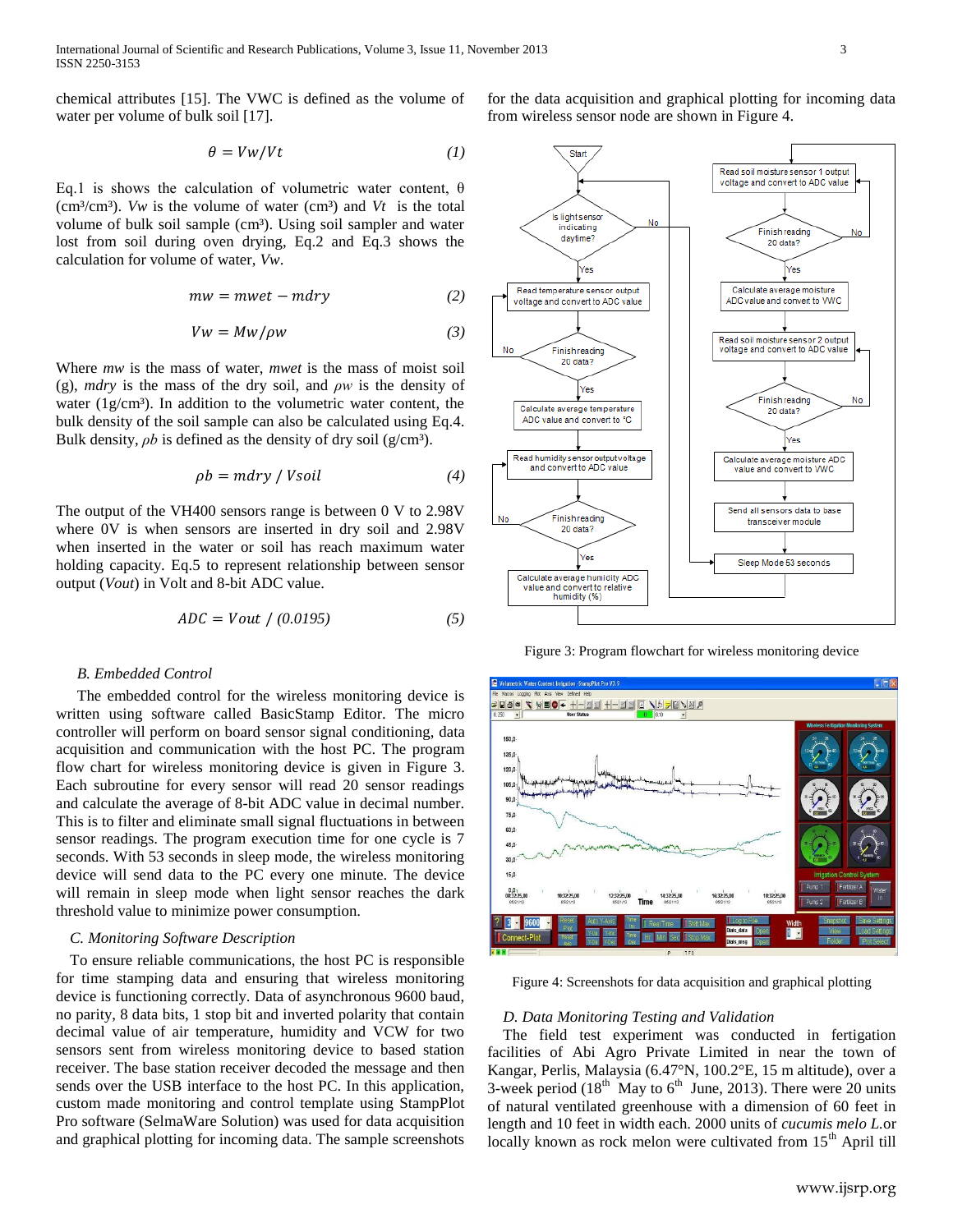chemical attributes [15]. The VWC is defined as the volume of water per volume of bulk soil [17].

$$
\theta = Vw/Vt \tag{1}
$$

Eq.1 is shows the calculation of volumetric water content, θ ( $cm<sup>3</sup>/cm<sup>3</sup>$ ). *Vw* is the volume of water ( $cm<sup>3</sup>$ ) and *Vt* is the total volume of bulk soil sample (cm<sup>3</sup>). Using soil sampler and water lost from soil during oven drying, Eq.2 and Eq.3 shows the calculation for volume of water, *Vw*.

$$
mw = mwet - mdry
$$
 (2)

$$
Vw = Mw/\rho w \tag{3}
$$

Where *mw* is the mass of water, *mwet* is the mass of moist soil (g), *mdry* is the mass of the dry soil, and *ρw* is the density of water  $(1g/cm<sup>3</sup>)$ . In addition to the volumetric water content, the bulk density of the soil sample can also be calculated using Eq.4. Bulk density,  $\rho b$  is defined as the density of dry soil (g/cm<sup>3</sup>).

$$
\rho b = m \, \text{dry} / \text{V} \, \text{solid} \tag{4}
$$

The output of the VH400 sensors range is between 0 V to 2.98V where 0V is when sensors are inserted in dry soil and 2.98V when inserted in the water or soil has reach maximum water holding capacity. Eq.5 to represent relationship between sensor output (*Vout*) in Volt and 8-bit ADC value.

$$
ADC = Vout / (0.0195)
$$
 (5)

## *B. Embedded Control*

The embedded control for the wireless monitoring device is written using software called BasicStamp Editor. The micro controller will perform on board sensor signal conditioning, data acquisition and communication with the host PC. The program flow chart for wireless monitoring device is given in Figure 3. Each subroutine for every sensor will read 20 sensor readings and calculate the average of 8-bit ADC value in decimal number. This is to filter and eliminate small signal fluctuations in between sensor readings. The program execution time for one cycle is 7 seconds. With 53 seconds in sleep mode, the wireless monitoring device will send data to the PC every one minute. The device will remain in sleep mode when light sensor reaches the dark threshold value to minimize power consumption.

## *C. Monitoring Software Description*

To ensure reliable communications, the host PC is responsible for time stamping data and ensuring that wireless monitoring device is functioning correctly. Data of asynchronous 9600 baud, no parity, 8 data bits, 1 stop bit and inverted polarity that contain decimal value of air temperature, humidity and VCW for two sensors sent from wireless monitoring device to based station receiver. The base station receiver decoded the message and then sends over the USB interface to the host PC. In this application, custom made monitoring and control template using StampPlot Pro software (SelmaWare Solution) was used for data acquisition and graphical plotting for incoming data. The sample screenshots

for the data acquisition and graphical plotting for incoming data from wireless sensor node are shown in Figure 4.



Figure 3: Program flowchart for wireless monitoring device



Figure 4: Screenshots for data acquisition and graphical plotting

## *D. Data Monitoring Testing and Validation*

 The field test experiment was conducted in fertigation facilities of Abi Agro Private Limited in near the town of Kangar, Perlis, Malaysia (6.47°N, 100.2°E, 15 m altitude), over a 3-week period ( $18<sup>th</sup>$  May to  $6<sup>th</sup>$  June, 2013). There were 20 units of natural ventilated greenhouse with a dimension of 60 feet in length and 10 feet in width each. 2000 units of *cucumis melo L.*or locally known as rock melon were cultivated from  $15<sup>th</sup>$  April till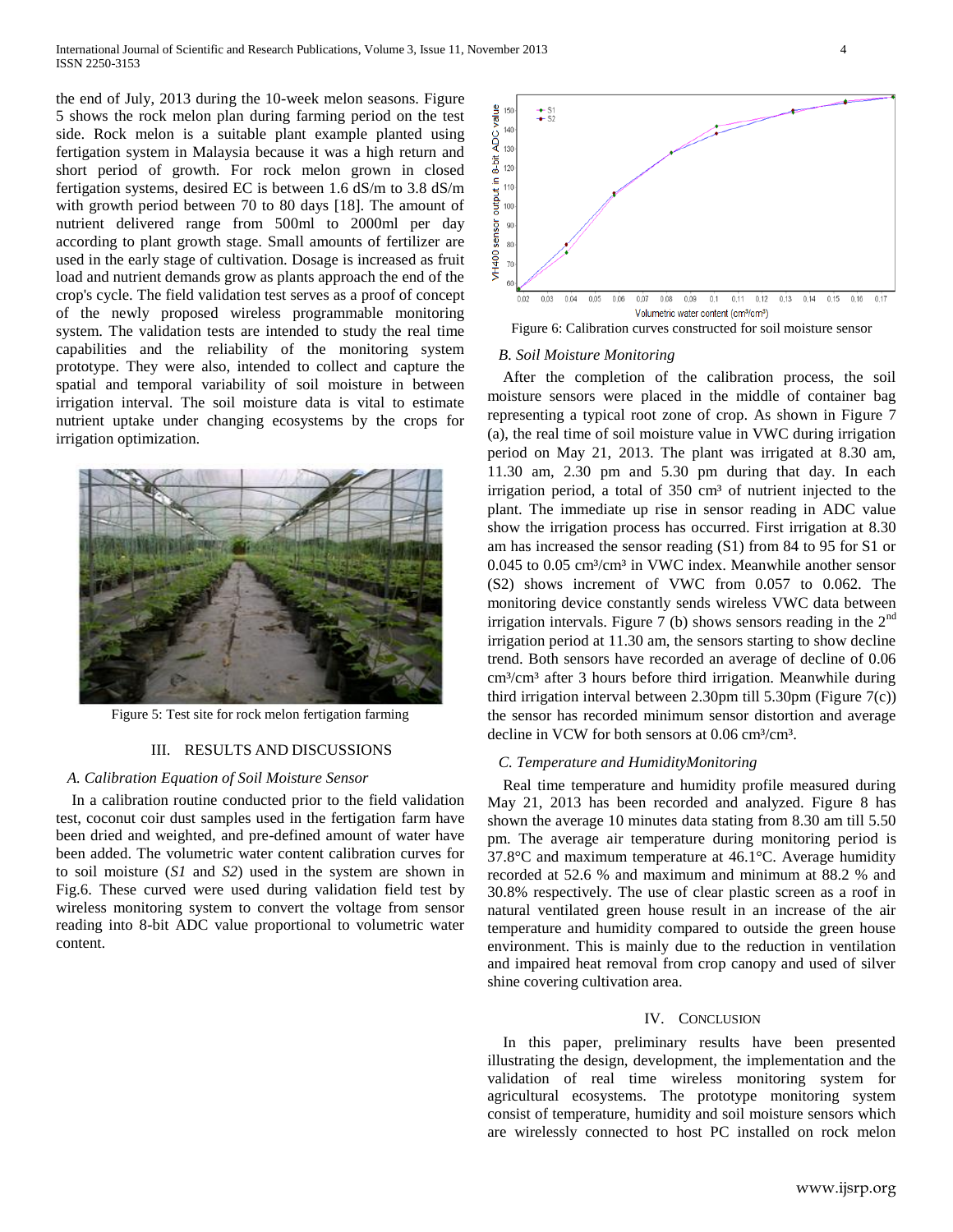the end of July, 2013 during the 10-week melon seasons. Figure 5 shows the rock melon plan during farming period on the test side. Rock melon is a suitable plant example planted using fertigation system in Malaysia because it was a high return and short period of growth. For rock melon grown in closed fertigation systems, desired EC is between 1.6 dS/m to 3.8 dS/m with growth period between 70 to 80 days [18]. The amount of nutrient delivered range from 500ml to 2000ml per day according to plant growth stage. Small amounts of fertilizer are used in the early stage of cultivation. Dosage is increased as fruit load and nutrient demands grow as plants approach the end of the crop's cycle. The field validation test serves as a proof of concept of the newly proposed wireless programmable monitoring system. The validation tests are intended to study the real time capabilities and the reliability of the monitoring system prototype. They were also, intended to collect and capture the spatial and temporal variability of soil moisture in between irrigation interval. The soil moisture data is vital to estimate nutrient uptake under changing ecosystems by the crops for irrigation optimization.



Figure 5: Test site for rock melon fertigation farming

#### III. RESULTS AND DISCUSSIONS

## *A. Calibration Equation of Soil Moisture Sensor*

 In a calibration routine conducted prior to the field validation test, coconut coir dust samples used in the fertigation farm have been dried and weighted, and pre-defined amount of water have been added. The volumetric water content calibration curves for to soil moisture (*S1* and *S2*) used in the system are shown in Fig.6. These curved were used during validation field test by wireless monitoring system to convert the voltage from sensor reading into 8-bit ADC value proportional to volumetric water content.



Figure 6: Calibration curves constructed for soil moisture sensor

#### *B. Soil Moisture Monitoring*

 After the completion of the calibration process, the soil moisture sensors were placed in the middle of container bag representing a typical root zone of crop. As shown in Figure 7 (a), the real time of soil moisture value in VWC during irrigation period on May 21, 2013. The plant was irrigated at 8.30 am, 11.30 am, 2.30 pm and 5.30 pm during that day. In each irrigation period, a total of 350 cm<sup>3</sup> of nutrient injected to the plant. The immediate up rise in sensor reading in ADC value show the irrigation process has occurred. First irrigation at 8.30 am has increased the sensor reading (S1) from 84 to 95 for S1 or 0.045 to 0.05 cm<sup>3</sup>/cm<sup>3</sup> in VWC index. Meanwhile another sensor (S2) shows increment of VWC from 0.057 to 0.062. The monitoring device constantly sends wireless VWC data between irrigation intervals. Figure 7 (b) shows sensors reading in the  $2<sup>nd</sup>$ irrigation period at 11.30 am, the sensors starting to show decline trend. Both sensors have recorded an average of decline of 0.06 cm<sup>3</sup>/cm<sup>3</sup> after 3 hours before third irrigation. Meanwhile during third irrigation interval between 2.30pm till 5.30pm (Figure 7(c)) the sensor has recorded minimum sensor distortion and average decline in VCW for both sensors at  $0.06 \text{ cm}^3/\text{cm}^3$ .

#### *C. Temperature and HumidityMonitoring*

 Real time temperature and humidity profile measured during May 21, 2013 has been recorded and analyzed. Figure 8 has shown the average 10 minutes data stating from 8.30 am till 5.50 pm. The average air temperature during monitoring period is 37.8°C and maximum temperature at 46.1°C. Average humidity recorded at 52.6 % and maximum and minimum at 88.2 % and 30.8% respectively. The use of clear plastic screen as a roof in natural ventilated green house result in an increase of the air temperature and humidity compared to outside the green house environment. This is mainly due to the reduction in ventilation and impaired heat removal from crop canopy and used of silver shine covering cultivation area.

### IV. CONCLUSION

 In this paper, preliminary results have been presented illustrating the design, development, the implementation and the validation of real time wireless monitoring system for agricultural ecosystems. The prototype monitoring system consist of temperature, humidity and soil moisture sensors which are wirelessly connected to host PC installed on rock melon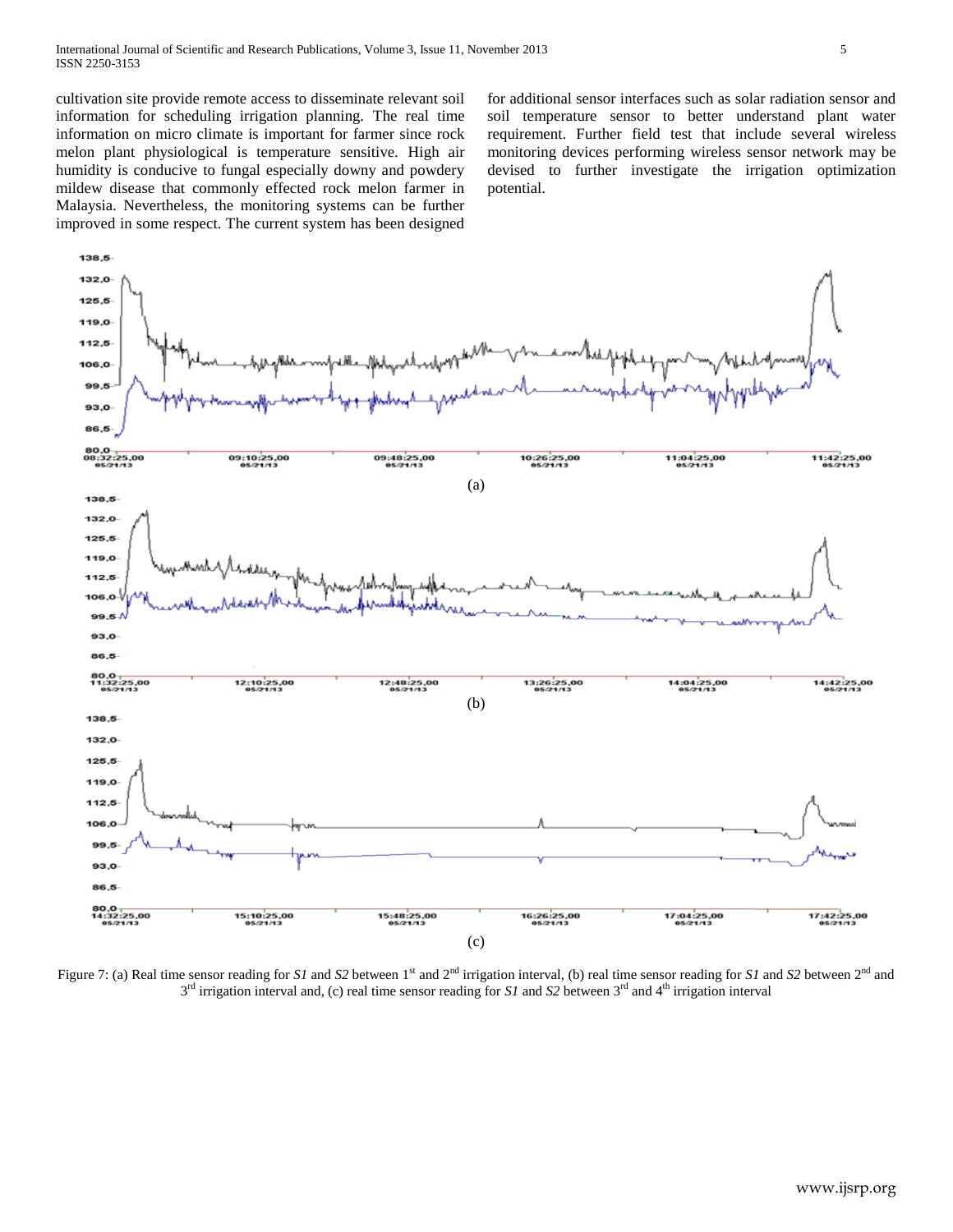cultivation site provide remote access to disseminate relevant soil information for scheduling irrigation planning. The real time information on micro climate is important for farmer since rock melon plant physiological is temperature sensitive. High air humidity is conducive to fungal especially downy and powdery mildew disease that commonly effected rock melon farmer in Malaysia. Nevertheless, the monitoring systems can be further improved in some respect. The current system has been designed

for additional sensor interfaces such as solar radiation sensor and soil temperature sensor to better understand plant water requirement. Further field test that include several wireless monitoring devices performing wireless sensor network may be devised to further investigate the irrigation optimization potential.



Figure 7: (a) Real time sensor reading for *S1* and *S2* between  $1<sup>st</sup>$  and  $2<sup>nd</sup>$  irrigation interval, (b) real time sensor reading for *S1* and *S2* between  $2<sup>nd</sup>$  and 3<sup>rd</sup> irrigation interval and, (c) real time sensor reading for *S1* and *S2* between 3<sup>rd</sup> and 4<sup>th</sup> irrigation interval